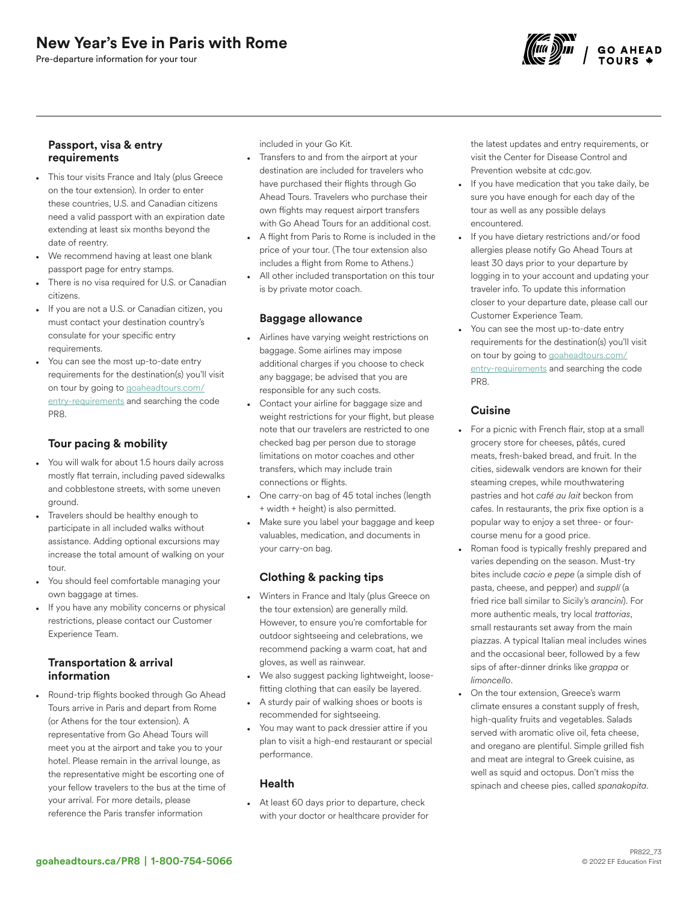Pre-departure information for your tour



## Passport, visa & entry requirements

- This tour visits France and Italy (plus Greece on the tour extension). In order to enter these countries, U.S. and Canadian citizens need a valid passport with an expiration date extending at least six months beyond the date of reentry.
- We recommend having at least one blank passport page for entry stamps.
- There is no visa required for U.S. or Canadian citizens.
- If you are not a U.S. or Canadian citizen, you must contact your destination country's consulate for your specific entry requirements.
- You can see the most up-to-date entry requirements for the destination(s) you'll visit on tour by going to [goaheadtours.com/](/entry-requirements?tourCode=PR8) [entry-requirements](/entry-requirements?tourCode=PR8) and searching the code PR8.

# Tour pacing & mobility

- You will walk for about 1.5 hours daily across mostly flat terrain, including paved sidewalks and cobblestone streets, with some uneven ground.
- Travelers should be healthy enough to participate in all included walks without assistance. Adding optional excursions may increase the total amount of walking on your tour.
- You should feel comfortable managing your own baggage at times.
- If you have any mobility concerns or physical restrictions, please contact our Customer Experience Team.

### Transportation & arrival information

• Round-trip flights booked through Go Ahead Tours arrive in Paris and depart from Rome (or Athens for the tour extension). A representative from Go Ahead Tours will meet you at the airport and take you to your hotel. Please remain in the arrival lounge, as the representative might be escorting one of your fellow travelers to the bus at the time of your arrival. For more details, please reference the Paris transfer information

included in your Go Kit.

- Transfers to and from the airport at your destination are included for travelers who have purchased their flights through Go Ahead Tours. Travelers who purchase their own flights may request airport transfers with Go Ahead Tours for an additional cost.
- A flight from Paris to Rome is included in the price of your tour. (The tour extension also includes a flight from Rome to Athens.)
- All other included transportation on this tour is by private motor coach.

## Baggage allowance

- Airlines have varying weight restrictions on baggage. Some airlines may impose additional charges if you choose to check any baggage; be advised that you are responsible for any such costs.
- Contact your airline for baggage size and weight restrictions for your flight, but please note that our travelers are restricted to one checked bag per person due to storage limitations on motor coaches and other transfers, which may include train connections or flights.
- One carry-on bag of 45 total inches (length + width + height) is also permitted.
- Make sure you label your baggage and keep valuables, medication, and documents in your carry-on bag.

# Clothing & packing tips

- Winters in France and Italy (plus Greece on the tour extension) are generally mild. However, to ensure you're comfortable for outdoor sightseeing and celebrations, we recommend packing a warm coat, hat and gloves, as well as rainwear.
- We also suggest packing lightweight, loosefitting clothing that can easily be layered.
- A sturdy pair of walking shoes or boots is recommended for sightseeing.
- You may want to pack dressier attire if you plan to visit a high-end restaurant or special performance.

### Health

• At least 60 days prior to departure, check with your doctor or healthcare provider for the latest updates and entry requirements, or visit the Center for Disease Control and Prevention website at cdc.gov.

- If you have medication that you take daily, be sure you have enough for each day of the tour as well as any possible delays encountered.
- If you have dietary restrictions and/or food allergies please notify Go Ahead Tours at least 30 days prior to your departure by logging in to your account and updating your traveler info. To update this information closer to your departure date, please call our Customer Experience Team.
- You can see the most up-to-date entry requirements for the destination(s) you'll visit on tour by going to [goaheadtours.com/](/entry-requirements?tourCode=PR8) [entry-requirements](/entry-requirements?tourCode=PR8) and searching the code PR8.

# **Cuisine**

- For a picnic with French flair, stop at a small grocery store for cheeses, pâtés, cured meats, fresh-baked bread, and fruit. In the cities, sidewalk vendors are known for their steaming crepes, while mouthwatering pastries and hot *café au lait* beckon from cafes. In restaurants, the prix fixe option is a popular way to enjoy a set three- or fourcourse menu for a good price.
- Roman food is typically freshly prepared and varies depending on the season. Must-try bites include *cacio e pepe* (a simple dish of pasta, cheese, and pepper) and *supplí* (a fried rice ball similar to Sicily's *arancini*). For more authentic meals, try local *trattorias*, small restaurants set away from the main piazzas. A typical Italian meal includes wines and the occasional beer, followed by a few sips of after-dinner drinks like *grappa* or *limoncello*.
- On the tour extension, Greece's warm climate ensures a constant supply of fresh, high-quality fruits and vegetables. Salads served with aromatic olive oil, feta cheese, and oregano are plentiful. Simple grilled fish and meat are integral to Greek cuisine, as well as squid and octopus. Don't miss the spinach and cheese pies, called *spanakopita*.